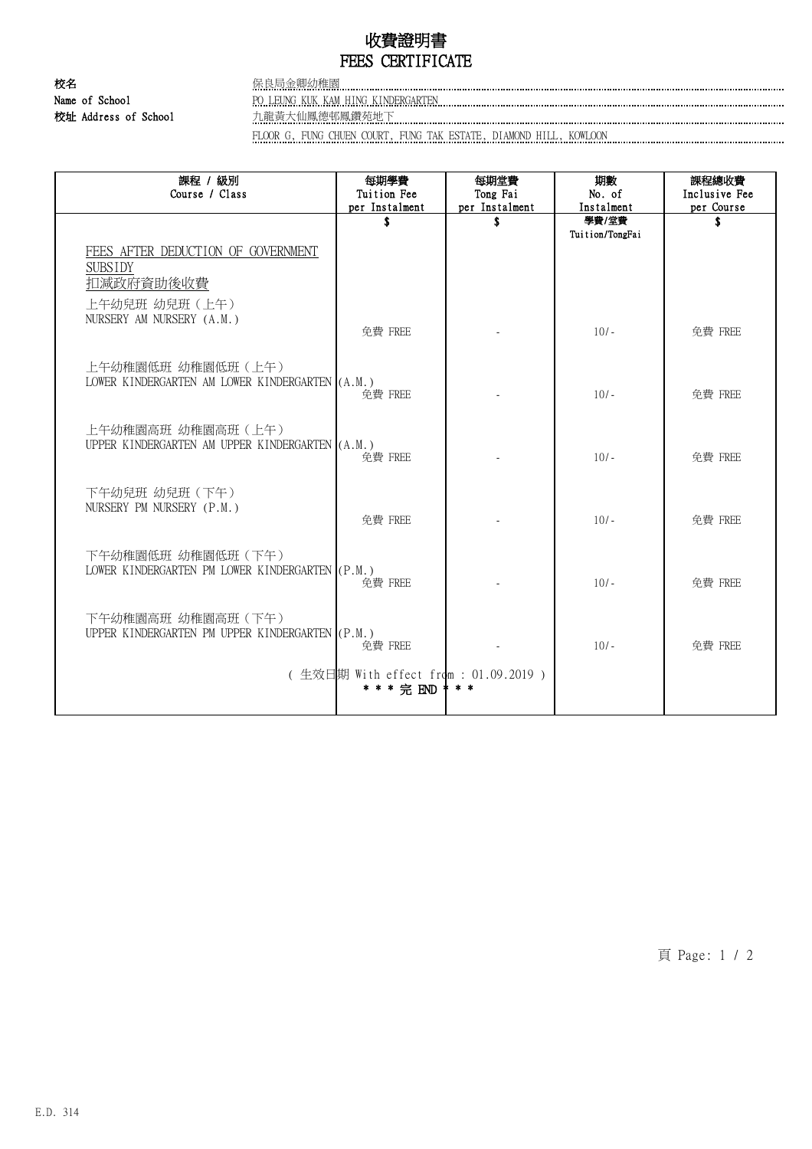# 收費證明書 FEES CERTIFICATE

校名 保良局金卿幼稚園 Name of School **PO LEUNG KUK KAM HING KINDERGARTEN Example 2008** 2014 12:30 Name of School 校址 Address of School 九龍黃大仙鳳德邨鳳鑽苑地下

FLOOR G, FUNG CHUEN COURT, FUNG TAK ESTATE, DIAMOND HILL, KOWLOON

| 課程 / 級別                                                              | 每期學費                                  | 每期堂費           | 期數              | 課程總收費         |
|----------------------------------------------------------------------|---------------------------------------|----------------|-----------------|---------------|
| Course / Class                                                       | Tuition Fee                           | Tong Fai       | No. of          | Inclusive Fee |
|                                                                      | per Instalment                        | per Instalment | Instalment      | per Course    |
|                                                                      | \$                                    | \$             | 學費/堂費           | \$.           |
|                                                                      |                                       |                | Tuition/TongFai |               |
| FEES AFTER DEDUCTION OF GOVERNMENT                                   |                                       |                |                 |               |
| <b>SUBSIDY</b>                                                       |                                       |                |                 |               |
| 扣减政府資助後收費                                                            |                                       |                |                 |               |
| 上午幼兒班 幼兒班 (上午)                                                       |                                       |                |                 |               |
| NURSERY AM NURSERY (A.M.)                                            |                                       |                |                 |               |
|                                                                      | 免費 FREE                               |                | $10/-$          | 免費 FREE       |
|                                                                      |                                       |                |                 |               |
| 上午幼稚園低班 幼稚園低班 (上午)                                                   |                                       |                |                 |               |
| LOWER KINDERGARTEN AM LOWER KINDERGARTEN (A.M.)                      |                                       |                |                 |               |
|                                                                      | 免費 FREE                               |                | $10/-$          | 免費 FREE       |
|                                                                      |                                       |                |                 |               |
| 上午幼稚園高班 幼稚園高班(上午)                                                    |                                       |                |                 |               |
| UPPER KINDERGARTEN AM UPPER KINDERGARTEN (A.M.)                      |                                       |                |                 |               |
|                                                                      | 免費 FREE                               |                | $10/-$          | 免費 FREE       |
|                                                                      |                                       |                |                 |               |
| 下午幼兒班 幼兒班 (下午)                                                       |                                       |                |                 |               |
| NURSERY PM NURSERY (P.M.)                                            |                                       |                |                 |               |
|                                                                      | 免費 FREE                               |                | $10/-$          | 免費 FREE       |
|                                                                      |                                       |                |                 |               |
| 下午幼稚園低班 幼稚園低班 (下午)                                                   |                                       |                |                 |               |
| LOWER KINDERGARTEN PM LOWER KINDERGARTEN (P.M.)                      | 免費 FREE                               |                | $10/-$          | 免費 FREE       |
|                                                                      |                                       |                |                 |               |
|                                                                      |                                       |                |                 |               |
| 下午幼稚園高班 幼稚園高班(下午)<br>UPPER KINDERGARTEN PM UPPER KINDERGARTEN (P.M.) |                                       |                |                 |               |
|                                                                      | 免費 FREE                               |                | $10/-$          | 免費 FREE       |
|                                                                      |                                       |                |                 |               |
|                                                                      | (生效日期 With effect from : 01.09.2019 ) |                |                 |               |
|                                                                      | * * * 完 END                           |                |                 |               |
|                                                                      |                                       |                |                 |               |

頁 Page: 1 / 2